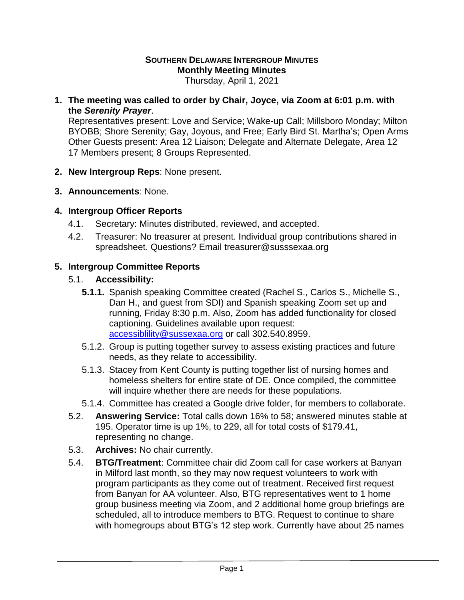# **SOUTHERN DELAWARE INTERGROUP MINUTES Monthly Meeting Minutes**

Thursday, April 1, 2021

**1. The meeting was called to order by Chair, Joyce, via Zoom at 6:01 p.m. with the** *Serenity Prayer*.

Representatives present: Love and Service; Wake-up Call; Millsboro Monday; Milton BYOBB; Shore Serenity; Gay, Joyous, and Free; Early Bird St. Martha's; Open Arms Other Guests present: Area 12 Liaison; Delegate and Alternate Delegate, Area 12 17 Members present; 8 Groups Represented.

- **2. New Intergroup Reps**: None present.
- **3. Announcements**: None.

#### **4. Intergroup Officer Reports**

- 4.1. Secretary: Minutes distributed, reviewed, and accepted.
- 4.2. Treasurer: No treasurer at present. Individual group contributions shared in spreadsheet. Questions? Email treasurer@susssexaa.org

## **5. Intergroup Committee Reports**

## 5.1. **Accessibility:**

- **5.1.1.** Spanish speaking Committee created (Rachel S., Carlos S., Michelle S., Dan H., and guest from SDI) and Spanish speaking Zoom set up and running, Friday 8:30 p.m. Also, Zoom has added functionality for closed captioning. Guidelines available upon request: [accessiblility@sussexaa.org](mailto:accessiblility@sussexaa.org) or call 302.540.8959.
- 5.1.2. Group is putting together survey to assess existing practices and future needs, as they relate to accessibility.
- 5.1.3. Stacey from Kent County is putting together list of nursing homes and homeless shelters for entire state of DE. Once compiled, the committee will inquire whether there are needs for these populations.
- 5.1.4. Committee has created a Google drive folder, for members to collaborate.
- 5.2. **Answering Service:** Total calls down 16% to 58; answered minutes stable at 195. Operator time is up 1%, to 229, all for total costs of \$179.41, representing no change.
- 5.3. **Archives:** No chair currently.
- 5.4. **BTG/Treatment**: Committee chair did Zoom call for case workers at Banyan in Milford last month, so they may now request volunteers to work with program participants as they come out of treatment. Received first request from Banyan for AA volunteer. Also, BTG representatives went to 1 home group business meeting via Zoom, and 2 additional home group briefings are scheduled, all to introduce members to BTG. Request to continue to share with homegroups about BTG's 12 step work. Currently have about 25 names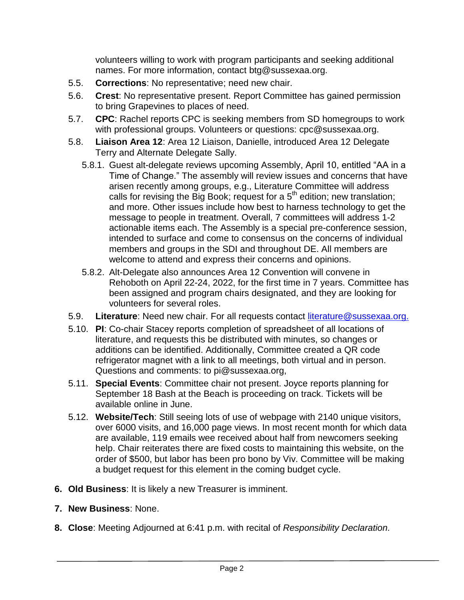volunteers willing to work with program participants and seeking additional names. For more information, contact btg@sussexaa.org.

- 5.5. **Corrections**: No representative; need new chair.
- 5.6. **Crest**: No representative present. Report Committee has gained permission to bring Grapevines to places of need.
- 5.7. **CPC**: Rachel reports CPC is seeking members from SD homegroups to work with professional groups. Volunteers or questions: cpc@sussexaa.org.
- 5.8. **Liaison Area 12**: Area 12 Liaison, Danielle, introduced Area 12 Delegate Terry and Alternate Delegate Sally.
	- 5.8.1. Guest alt-delegate reviews upcoming Assembly, April 10, entitled "AA in a Time of Change." The assembly will review issues and concerns that have arisen recently among groups, e.g., Literature Committee will address calls for revising the Big Book; request for a  $5<sup>th</sup>$  edition; new translation; and more. Other issues include how best to harness technology to get the message to people in treatment. Overall, 7 committees will address 1-2 actionable items each. The Assembly is a special pre-conference session, intended to surface and come to consensus on the concerns of individual members and groups in the SDI and throughout DE. All members are welcome to attend and express their concerns and opinions.
	- 5.8.2. Alt-Delegate also announces Area 12 Convention will convene in Rehoboth on April 22-24, 2022, for the first time in 7 years. Committee has been assigned and program chairs designated, and they are looking for volunteers for several roles.
- 5.9. **Literature**: Need new chair. For all requests contact [literature@sussexaa.org.](mailto:literature@sussexaa.org.)
- 5.10. **PI**: Co-chair Stacey reports completion of spreadsheet of all locations of literature, and requests this be distributed with minutes, so changes or additions can be identified. Additionally, Committee created a QR code refrigerator magnet with a link to all meetings, both virtual and in person. Questions and comments: to pi@sussexaa.org,
- 5.11. **Special Events**: Committee chair not present. Joyce reports planning for September 18 Bash at the Beach is proceeding on track. Tickets will be available online in June.
- 5.12. **Website/Tech**: Still seeing lots of use of webpage with 2140 unique visitors, over 6000 visits, and 16,000 page views. In most recent month for which data are available, 119 emails wee received about half from newcomers seeking help. Chair reiterates there are fixed costs to maintaining this website, on the order of \$500, but labor has been pro bono by Viv. Committee will be making a budget request for this element in the coming budget cycle.
- **6. Old Business**: It is likely a new Treasurer is imminent.
- **7. New Business**: None.
- **8. Close**: Meeting Adjourned at 6:41 p.m. with recital of *Responsibility Declaration.*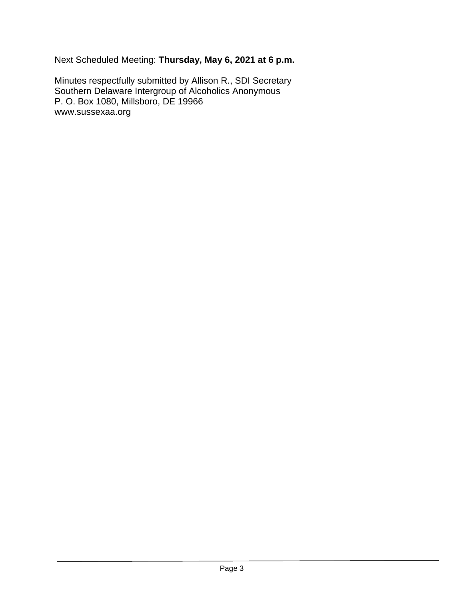Next Scheduled Meeting: **Thursday, May 6, 2021 at 6 p.m.**

Minutes respectfully submitted by Allison R., SDI Secretary Southern Delaware Intergroup of Alcoholics Anonymous P. O. Box 1080, Millsboro, DE 19966 www.sussexaa.org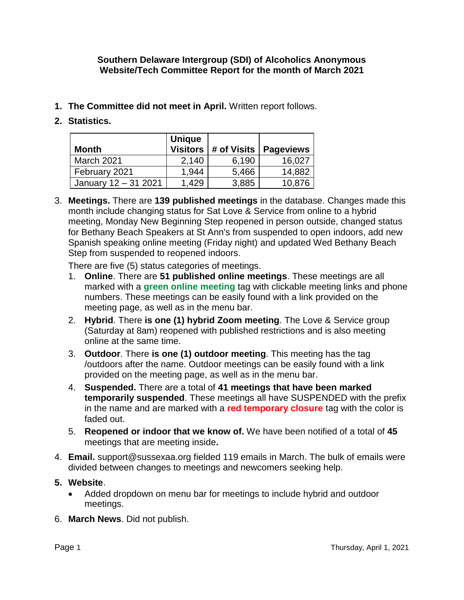#### **Southern Delaware Intergroup (SDI) of Alcoholics Anonymous Website/Tech Committee Report for the month of March 2021**

- **1. The Committee did not meet in April.** Written report follows.
- **2. Statistics.**

| Month                | <b>Unique</b><br><b>Visitors</b> | # of Visits | <b>Pageviews</b> |
|----------------------|----------------------------------|-------------|------------------|
| March 2021           | 2,140                            | 6,190       | 16,027           |
| February 2021        | 1,944                            | 5,466       | 14,882           |
| January 12 - 31 2021 | 1,429                            | 3,885       | 10,876           |

3. **Meetings.** There are **139 published meetings** in the database. Changes made this month include changing status for Sat Love & Service from online to a hybrid meeting, Monday New Beginning Step reopened in person outside, changed status for Bethany Beach Speakers at St Ann's from suspended to open indoors, add new Spanish speaking online meeting (Friday night) and updated Wed Bethany Beach Step from suspended to reopened indoors.

There are five (5) status categories of meetings.

- 1. **Online**. There are **51 published online meetings**. These meetings are all marked with a **green online meeting** tag with clickable meeting links and phone numbers. These meetings can be easily found with a link provided on the meeting page, as well as in the menu bar.
- 2. **Hybrid**. There **is one (1) hybrid Zoom meeting**. The Love & Service group (Saturday at 8am) reopened with published restrictions and is also meeting online at the same time.
- 3. **Outdoor**. There **is one (1) outdoor meeting**. This meeting has the tag /outdoors after the name. Outdoor meetings can be easily found with a link provided on the meeting page, as well as in the menu bar.
- 4. **Suspended.** There are a total of **41 meetings that have been marked temporarily suspended**. These meetings all have SUSPENDED with the prefix in the name and are marked with a **red temporary closure** tag with the color is faded out.
- 5. **Reopened or indoor that we know of.** We have been notified of a total of **45** meetings that are meeting inside**.**
- 4. **Email.** support@sussexaa.org fielded 119 emails in March. The bulk of emails were divided between changes to meetings and newcomers seeking help.
- **5. Website**.
	- Added dropdown on menu bar for meetings to include hybrid and outdoor meetings.
- 6. **March News**. Did not publish.